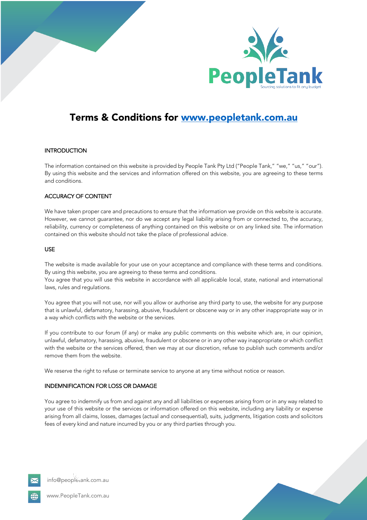



# Terms & Conditions for www.peopletank.com.au

### **INTRODUCTION**

The information contained on this website is provided by People Tank Pty Ltd ("People Tank," "we," "us," "our"). By using this website and the services and information offered on this website, you are agreeing to these terms and conditions.

## ACCURACY OF CONTENT

We have taken proper care and precautions to ensure that the information we provide on this website is accurate. However, we cannot guarantee, nor do we accept any legal liability arising from or connected to, the accuracy, reliability, currency or completeness of anything contained on this website or on any linked site. The information contained on this website should not take the place of professional advice.

#### USE

The website is made available for your use on your acceptance and compliance with these terms and conditions. By using this website, you are agreeing to these terms and conditions.

You agree that you will use this website in accordance with all applicable local, state, national and international laws, rules and regulations.

You agree that you will not use, nor will you allow or authorise any third party to use, the website for any purpose that is unlawful, defamatory, harassing, abusive, fraudulent or obscene way or in any other inappropriate way or in a way which conflicts with the website or the services.

If you contribute to our forum (if any) or make any public comments on this website which are, in our opinion, unlawful, defamatory, harassing, abusive, fraudulent or obscene or in any other way inappropriate or which conflict with the website or the services offered, then we may at our discretion, refuse to publish such comments and/or remove them from the website.

We reserve the right to refuse or terminate service to anyone at any time without notice or reason.

### INDEMNIFICATION FOR LOSS OR DAMAGE

You agree to indemnify us from and against any and all liabilities or expenses arising from or in any way related to your use of this website or the services or information offered on this website, including any liability or expense arising from all claims, losses, damages (actual and consequential), suits, judgments, litigation costs and solicitors fees of every kind and nature incurred by you or any third parties through you.



info@peopletank.com.au

www.PeopleTank.com.au